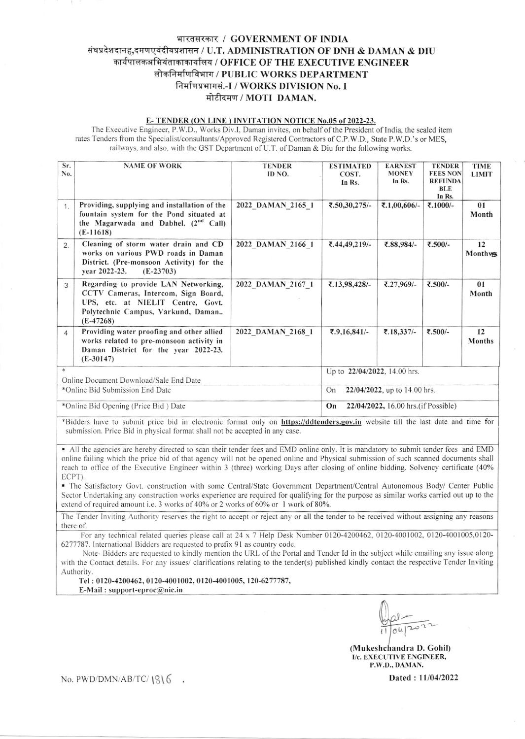## भारतसरकार / GOVERNMENT OF INDIA संघप्रदेशदानह,दमणएवंदीवप्रशासन / U.T. ADMINISTRATION OF DNH & DAMAN & DIU कार्यपालकअभियंताकाकार्यालय / OFFICE OF THE EXECUTIVE ENGINEER लोकनिर्माणविभाग / PUBLIC WORKS DEPARTMENT निर्माणप्रभागसं.-I / WORKS DIVISION No. I मोटीदमण / MOTI DAMAN.

## E-TENDER (ON LINE) INVITATION NOTICE No.05 of 2022-23.

The Executive Engineer, P.W.D., Works Div.I, Daman invites, on behalf of the President of India, the sealed item rates Tenders from the Specialist/consultants/Approved Registered Contractors of C.P.W.D., State P.W.D.'s or MES, railways, and also, with the GST Department of U.T. of Daman & Diu for the following works.

| Sr.                                                                                                                                    | <b>NAME OF WORK</b>                              | <b>TENDER</b>     | <b>ESTIMATED</b>                           | <b>EARNEST</b> | <b>TENDER</b>   | <b>TIME</b>   |  |  |  |
|----------------------------------------------------------------------------------------------------------------------------------------|--------------------------------------------------|-------------------|--------------------------------------------|----------------|-----------------|---------------|--|--|--|
| No.                                                                                                                                    |                                                  | ID NO.            | COST.                                      | <b>MONEY</b>   | <b>FEES NON</b> | <b>LIMIT</b>  |  |  |  |
|                                                                                                                                        |                                                  |                   | In Rs.                                     | In Rs.         | <b>REFUNDA</b>  |               |  |  |  |
|                                                                                                                                        |                                                  |                   |                                            |                | <b>BLE</b>      |               |  |  |  |
|                                                                                                                                        |                                                  |                   |                                            |                | In Rs.          |               |  |  |  |
| 1.                                                                                                                                     | Providing, supplying and installation of the     | 2022 DAMAN 2165 1 | ₹.50,30,275/-                              | ₹.1,00,606/-   | ₹.1000/-        | 01            |  |  |  |
|                                                                                                                                        | fountain system for the Pond situated at         |                   |                                            |                |                 | Month         |  |  |  |
|                                                                                                                                        | the Magarwada and Dabhel. (2 <sup>nd</sup> Call) |                   |                                            |                |                 |               |  |  |  |
|                                                                                                                                        | $(E-11618)$                                      |                   |                                            |                |                 |               |  |  |  |
|                                                                                                                                        | Cleaning of storm water drain and CD             | 2022 DAMAN 2166 1 | ₹.44,49,219/-                              | ₹.88,984/-     | ₹.500/-         | 12            |  |  |  |
| 2.                                                                                                                                     | works on various PWD roads in Daman              |                   |                                            |                |                 |               |  |  |  |
|                                                                                                                                        |                                                  |                   |                                            |                |                 | Monthws       |  |  |  |
|                                                                                                                                        | District. (Pre-monsoon Activity) for the         |                   |                                            |                |                 |               |  |  |  |
|                                                                                                                                        | vear 2022-23.<br>$(E-23703)$                     |                   |                                            |                |                 |               |  |  |  |
| 3                                                                                                                                      | Regarding to provide LAN Networking,             | 2022 DAMAN 2167 1 | ₹.13,98,428/-                              | ₹.27,969/-     | ₹.500/-         | 01            |  |  |  |
|                                                                                                                                        | CCTV Cameras, Intercom, Sign Board,              |                   |                                            |                |                 | Month         |  |  |  |
|                                                                                                                                        | UPS, etc. at NIELIT Centre, Govt.                |                   |                                            |                |                 |               |  |  |  |
|                                                                                                                                        | Polytechnic Campus, Varkund, Daman               |                   |                                            |                |                 |               |  |  |  |
|                                                                                                                                        |                                                  |                   |                                            |                |                 |               |  |  |  |
|                                                                                                                                        | $(E-47268)$                                      |                   |                                            |                |                 |               |  |  |  |
| $\overline{A}$                                                                                                                         | Providing water proofing and other allied        | 2022 DAMAN 2168 1 | ₹.9,16,841/-                               | ₹.18,337/-     | ₹.500/-         | 12            |  |  |  |
|                                                                                                                                        | works related to pre-monsoon activity in         |                   |                                            |                |                 | <b>Months</b> |  |  |  |
|                                                                                                                                        | Daman District for the year 2022-23.             |                   |                                            |                |                 |               |  |  |  |
|                                                                                                                                        | $(E-30147)$                                      |                   |                                            |                |                 |               |  |  |  |
|                                                                                                                                        |                                                  |                   |                                            |                |                 |               |  |  |  |
|                                                                                                                                        |                                                  |                   | Up to 22/04/2022, 14.00 hrs.               |                |                 |               |  |  |  |
| Online Document Download/Sale End Date                                                                                                 |                                                  |                   |                                            |                |                 |               |  |  |  |
| *Online Bid Submission End Date                                                                                                        |                                                  |                   | On<br>22/04/2022, up to 14.00 hrs.         |                |                 |               |  |  |  |
| *Online Bid Opening (Price Bid) Date                                                                                                   |                                                  |                   | On<br>22/04/2022, 16.00 hrs. (if Possible) |                |                 |               |  |  |  |
|                                                                                                                                        |                                                  |                   |                                            |                |                 |               |  |  |  |
| *Bidders have to submit price bid in electronic format only on <b>https://ddtenders.gov.in</b> website till the last date and time for |                                                  |                   |                                            |                |                 |               |  |  |  |

submission. Price Bid in physical format shall not be accepted in any case.

• All the agencies are hereby directed to scan their tender fees and EMD online only. It is mandatory to submit tender fees and EMD online failing which the price bid of that agency will not be opened online and Physical submission of such scanned documents shall reach to office of the Executive Engineer within 3 (three) working Days after closing of online bidding. Solvency certificate (40% ECPT).

• The Satisfactory Govt. construction with some Central/State Government Department/Central Autonomous Body/ Center Public Sector Undertaking any construction works experience are required for qualifying for the purpose as similar works carried out up to the extend of required amount i.e. 3 works of 40% or 2 works of 60% or 1 work of 80%.

The Tender Inviting Authority reserves the right to accept or reject any or all the tender to be received without assigning any reasons there of.

For any technical related queries please call at  $24 \times 7$  Help Desk Number 0120-4200462, 0120-4001002, 0120-4001005,0120-6277787. International Bidders are requested to prefix 91 as country code.

Note-Bidders are requested to kindly mention the URL of the Portal and Tender Id in the subject while emailing any issue along with the Contact details. For any issues/ clarifications relating to the tender(s) published kindly contact the respective Tender Inviting Authority.

Tel: 0120-4200462, 0120-4001002, 0120-4001005, 120-6277787, E-Mail: support-eproc@nic.in

(Mukeshchandra D. Gohil) I/c. EXECUTIVE ENGINEER, P.W.D., DAMAN.

Dated: 11/04/2022

No. PWD/DMN/AB/TC/ $1816$ ,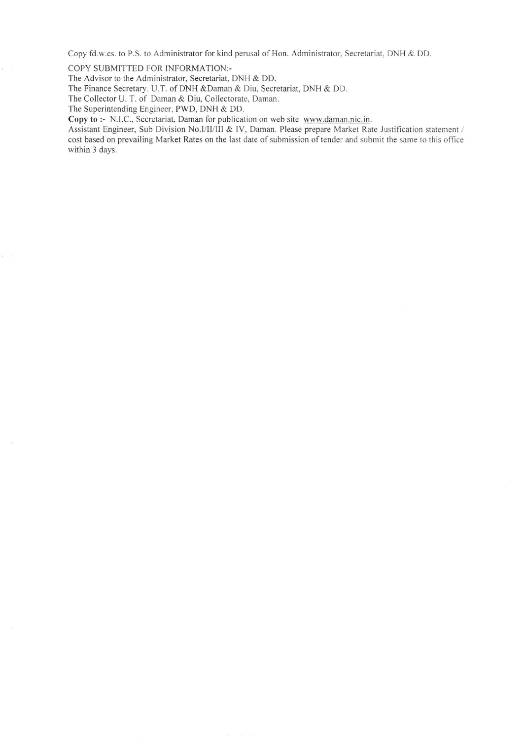Copy fd.w.cs. to P.S. to Administrator for kind perusal of Hon. Adminisfiator, Secretariat, DNH & DD.

COPY SUBMITTED FOR INFORMATION:-

The Advisor to the Administrator, Secretariat, DNH & DD.

The Finance Secretary, U.T. of DNH &Daman & Diu, Secretariat, DNH & DD.

The Collector U. T. of Daman & Diu, Collectorate, Daman.

The Superintending Engineer, PWD, DNH & DD.

 $\overline{1}$ 

Copy to :- N.I.C., Secretariat, Daman for publication on web site www.daman.nic.in.

Assistant Engineer, Sub Division No.I/II/III & IV, Daman. Please prepare Market Rate Justification statement / cost based on prevailing Market Rates on the last date of submission of tender and submit the same to this office within 3 days.